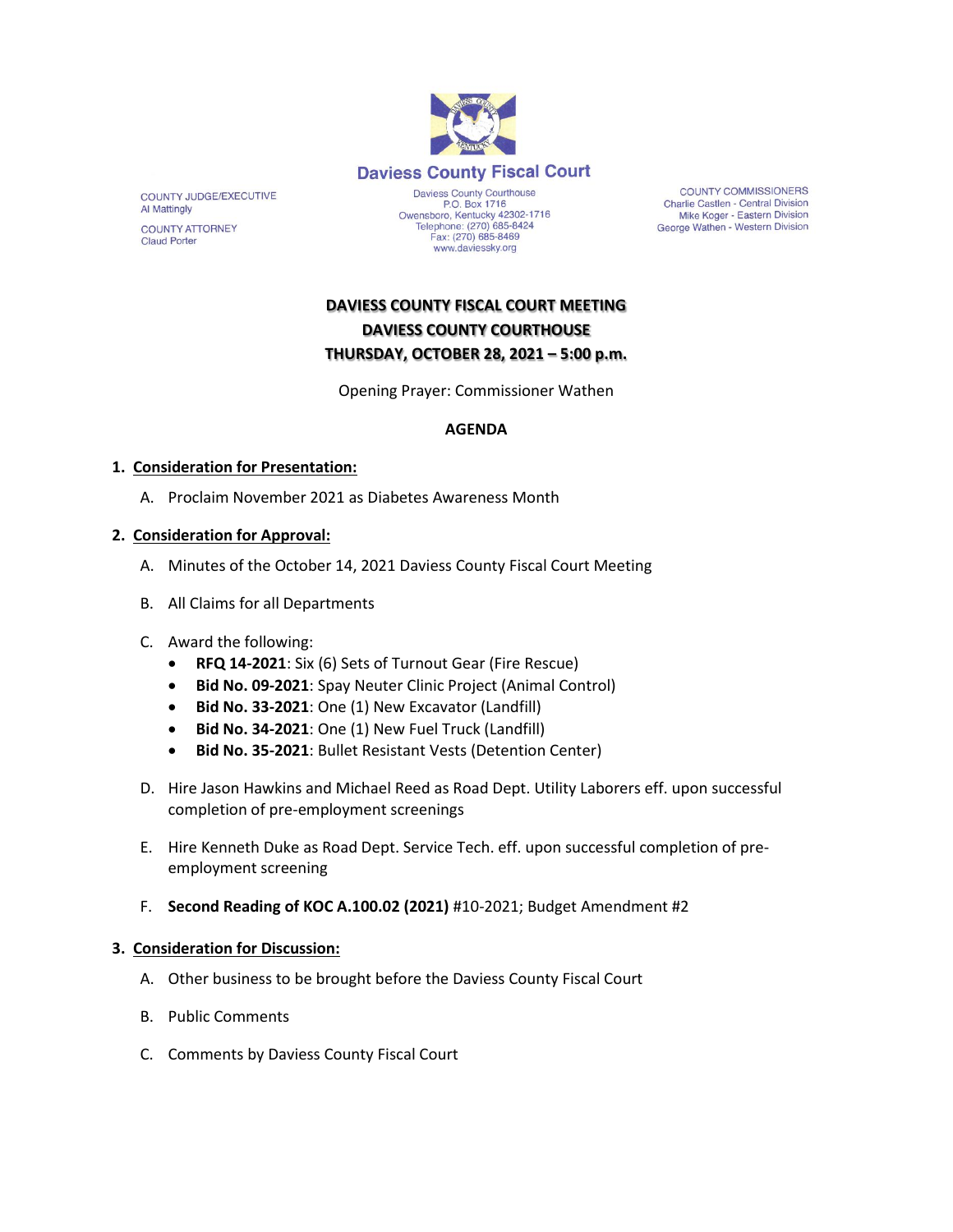

COUNTY JUDGE/EXECUTIVE Al Mattingly **COUNTY ATTORNEY** 

**Claud Porter** 

P.O. Box 1716 Owensboro, Kentucky 42302-1716<br>Telephone: (270) 685-8424 Fax: (270) 685-8469 www.daviessky.org

**COUNTY COMMISSIONERS Charlie Castlen - Central Division** Mike Koger - Eastern Division George Wathen - Western Division

# **DAVIESS COUNTY FISCAL COURT MEETING DAVIESS COUNTY COURTHOUSE THURSDAY, OCTOBER 28, 2021 – 5:00 p.m.**

Opening Prayer: Commissioner Wathen

### **AGENDA**

### **1. Consideration for Presentation:**

A. Proclaim November 2021 as Diabetes Awareness Month

### **2. Consideration for Approval:**

- A. Minutes of the October 14, 2021 Daviess County Fiscal Court Meeting
- B. All Claims for all Departments
- C. Award the following:
	- **RFQ 14-2021**: Six (6) Sets of Turnout Gear (Fire Rescue)
	- **Bid No. 09-2021**: Spay Neuter Clinic Project (Animal Control)
	- **Bid No. 33-2021**: One (1) New Excavator (Landfill)
	- **Bid No. 34-2021**: One (1) New Fuel Truck (Landfill)
	- **Bid No. 35-2021**: Bullet Resistant Vests (Detention Center)
- D. Hire Jason Hawkins and Michael Reed as Road Dept. Utility Laborers eff. upon successful completion of pre-employment screenings
- E. Hire Kenneth Duke as Road Dept. Service Tech. eff. upon successful completion of preemployment screening
- F. **Second Reading of KOC A.100.02 (2021)** #10-2021; Budget Amendment #2

#### **3. Consideration for Discussion:**

- A. Other business to be brought before the Daviess County Fiscal Court
- B. Public Comments
- C. Comments by Daviess County Fiscal Court